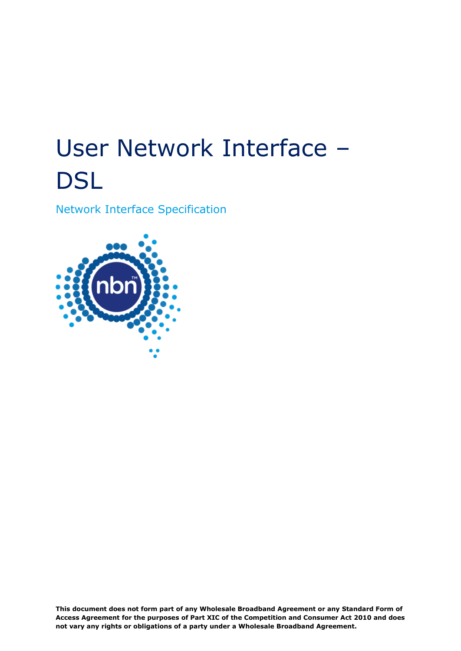# User Network Interface – **DSL**

Network Interface Specification



**This document does not form part of any Wholesale Broadband Agreement or any Standard Form of Access Agreement for the purposes of Part XIC of the Competition and Consumer Act 2010 and does not vary any rights or obligations of a party under a Wholesale Broadband Agreement.**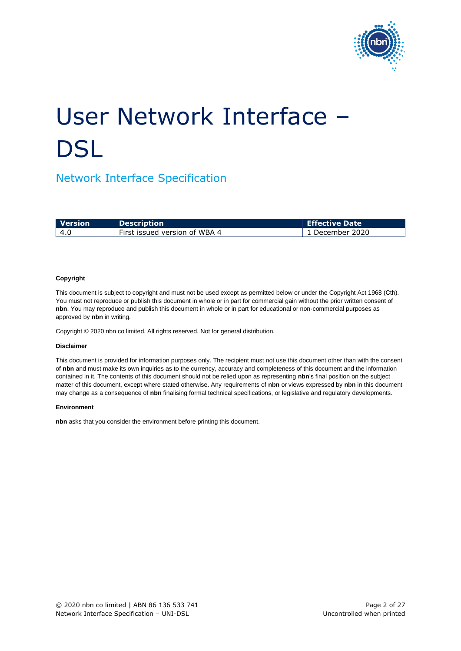

# User Network Interface – **DSL**

### Network Interface Specification

| l Version | <b>Description</b>            | Effective Date    |
|-----------|-------------------------------|-------------------|
| ∣ 4.0     | First issued version of WBA 4 | l 1 December 2020 |

#### **Copyright**

This document is subject to copyright and must not be used except as permitted below or under the Copyright Act 1968 (Cth). You must not reproduce or publish this document in whole or in part for commercial gain without the prior written consent of **nbn**. You may reproduce and publish this document in whole or in part for educational or non-commercial purposes as approved by **nbn** in writing.

Copyright © 2020 nbn co limited. All rights reserved. Not for general distribution.

#### **Disclaimer**

This document is provided for information purposes only. The recipient must not use this document other than with the consent of **nbn** and must make its own inquiries as to the currency, accuracy and completeness of this document and the information contained in it. The contents of this document should not be relied upon as representing **nbn**'s final position on the subject matter of this document, except where stated otherwise. Any requirements of **nbn** or views expressed by **nbn** in this document may change as a consequence of **nbn** finalising formal technical specifications, or legislative and regulatory developments.

#### **Environment**

**nbn** asks that you consider the environment before printing this document.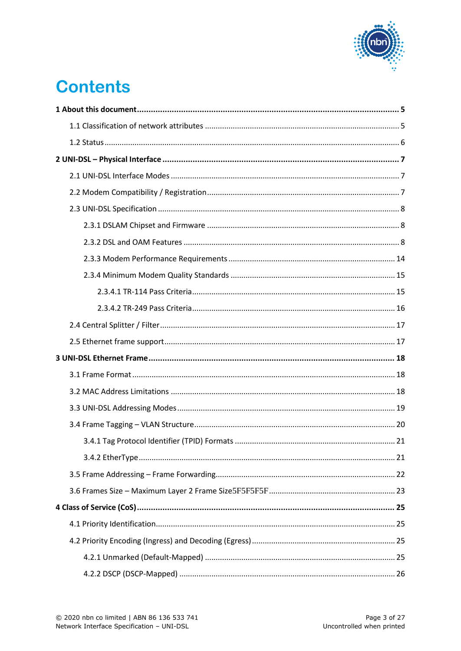

# **Contents**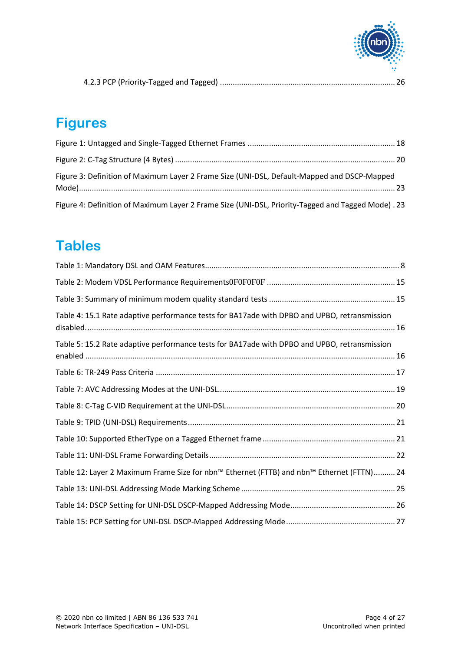

|--|--|

### **Figures**

| Figure 3: Definition of Maximum Layer 2 Frame Size (UNI-DSL, Default-Mapped and DSCP-Mapped       |  |
|---------------------------------------------------------------------------------------------------|--|
| Figure 4: Definition of Maximum Layer 2 Frame Size (UNI-DSL, Priority-Tagged and Tagged Mode). 23 |  |

### **Tables**

| Table 4: 15.1 Rate adaptive performance tests for BA17ade with DPBO and UPBO, retransmission |
|----------------------------------------------------------------------------------------------|
| Table 5: 15.2 Rate adaptive performance tests for BA17ade with DPBO and UPBO, retransmission |
|                                                                                              |
|                                                                                              |
|                                                                                              |
|                                                                                              |
|                                                                                              |
|                                                                                              |
| Table 12: Layer 2 Maximum Frame Size for nbn™ Ethernet (FTTB) and nbn™ Ethernet (FTTN) 24    |
|                                                                                              |
|                                                                                              |
|                                                                                              |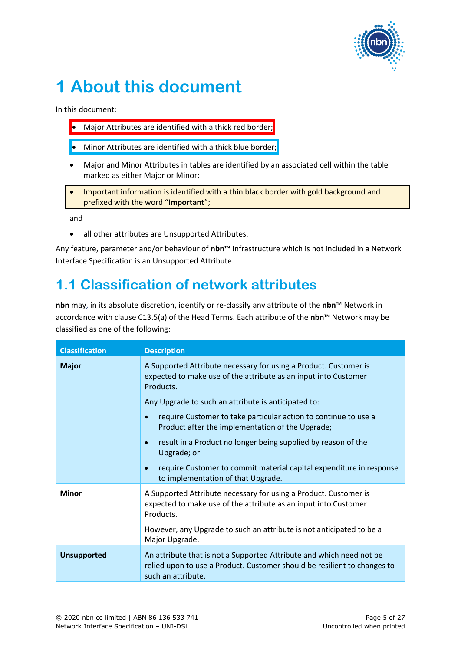

# <span id="page-4-0"></span>**1 About this document**

In this document:

- Major Attributes are identified with a thick red border;
- Minor Attributes are identified with a thick blue border;
- Major and Minor Attributes in tables are identified by an associated cell within the table marked as either Major or Minor;
- Important information is identified with a thin black border with gold background and prefixed with the word "**Important**";

and

• all other attributes are Unsupported Attributes.

Any feature, parameter and/or behaviour of **nbn**™ Infrastructure which is not included in a Network Interface Specification is an Unsupported Attribute.

### <span id="page-4-1"></span>**1.1 Classification of network attributes**

**nbn** may, in its absolute discretion, identify or re-classify any attribute of the **nbn**™ Network in accordance with clause C13.5(a) of the Head Terms. Each attribute of the **nbn**™ Network may be classified as one of the following:

| <b>Classification</b> | <b>Description</b>                                                                                                                                                     |
|-----------------------|------------------------------------------------------------------------------------------------------------------------------------------------------------------------|
| <b>Major</b>          | A Supported Attribute necessary for using a Product. Customer is<br>expected to make use of the attribute as an input into Customer<br>Products.                       |
|                       | Any Upgrade to such an attribute is anticipated to:                                                                                                                    |
|                       | require Customer to take particular action to continue to use a<br>$\bullet$<br>Product after the implementation of the Upgrade;                                       |
|                       | result in a Product no longer being supplied by reason of the<br>$\bullet$<br>Upgrade; or                                                                              |
|                       | require Customer to commit material capital expenditure in response<br>$\bullet$<br>to implementation of that Upgrade.                                                 |
| <b>Minor</b>          | A Supported Attribute necessary for using a Product. Customer is<br>expected to make use of the attribute as an input into Customer<br>Products.                       |
|                       | However, any Upgrade to such an attribute is not anticipated to be a<br>Major Upgrade.                                                                                 |
| <b>Unsupported</b>    | An attribute that is not a Supported Attribute and which need not be<br>relied upon to use a Product. Customer should be resilient to changes to<br>such an attribute. |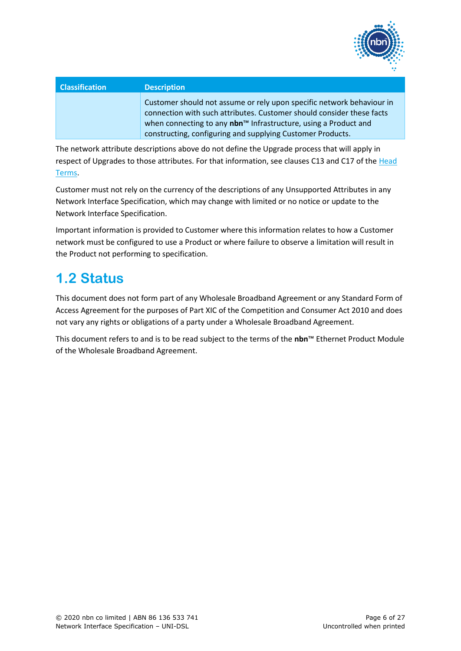

| <b>Classification</b> | <b>Description</b>                                                                                                                                                                                                                                                                          |
|-----------------------|---------------------------------------------------------------------------------------------------------------------------------------------------------------------------------------------------------------------------------------------------------------------------------------------|
|                       | Customer should not assume or rely upon specific network behaviour in<br>connection with such attributes. Customer should consider these facts<br>when connecting to any nbn <sup>™</sup> Infrastructure, using a Product and<br>constructing, configuring and supplying Customer Products. |

The network attribute descriptions above do not define the Upgrade process that will apply in respect of Upgrades to those attributes. For that information, see clauses C13 and C17 of the Head Terms.

Customer must not rely on the currency of the descriptions of any Unsupported Attributes in any Network Interface Specification, which may change with limited or no notice or update to the Network Interface Specification.

Important information is provided to Customer where this information relates to how a Customer network must be configured to use a Product or where failure to observe a limitation will result in the Product not performing to specification.

### <span id="page-5-0"></span>**1.2 Status**

This document does not form part of any Wholesale Broadband Agreement or any Standard Form of Access Agreement for the purposes of Part XIC of the Competition and Consumer Act 2010 and does not vary any rights or obligations of a party under a Wholesale Broadband Agreement.

This document refers to and is to be read subject to the terms of the **nbn**™ Ethernet Product Module of the Wholesale Broadband Agreement.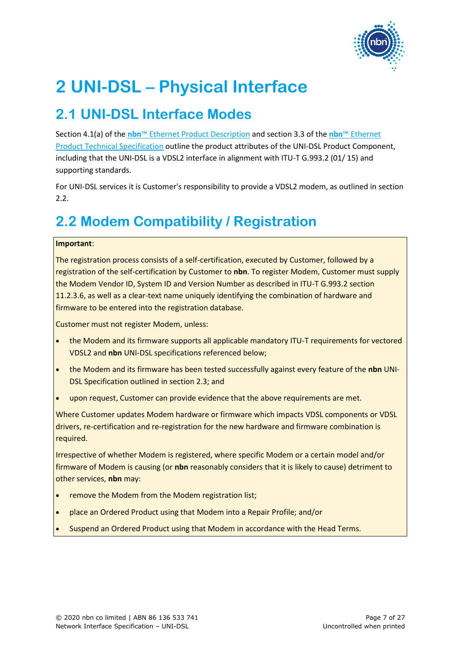

## <span id="page-6-0"></span>**2 UNI-DSL – Physical Interface**

### <span id="page-6-1"></span>**2.1 UNI-DSL Interface Modes**

Section 4.1(a) of the **nbn**™ Ethernet Product Description and section 3.3 of the **nbn**™ Ethernet Product Technical Specification outline the product attributes of the UNI-DSL Product Component, including that the UNI-DSL is a VDSL2 interface in alignment with ITU-T G.993.2 (01/ 15) and supporting standards.

For UNI-DSL services it is Customer's responsibility to provide a VDSL2 modem, as outlined in section [2.2.](#page-6-2)

### <span id="page-6-2"></span>**2.2 Modem Compatibility / Registration**

#### **Important**:

The registration process consists of a self-certification, executed by Customer, followed by a registration of the self-certification by Customer to **nbn**. To register Modem, Customer must supply the Modem Vendor ID, System ID and Version Number as described in ITU-T G.993.2 section 11.2.3.6, as well as a clear-text name uniquely identifying the combination of hardware and firmware to be entered into the registration database.

Customer must not register Modem, unless:

- the Modem and its firmware supports all applicable mandatory ITU-T requirements for vectored VDSL2 and **nbn** UNI-DSL specifications referenced below;
- the Modem and its firmware has been tested successfully against every feature of the **nbn** UNI-DSL Specification outlined in sectio[n 2.3;](#page-7-0) and
- upon request, Customer can provide evidence that the above requirements are met.

Where Customer updates Modem hardware or firmware which impacts VDSL components or VDSL drivers, re-certification and re-registration for the new hardware and firmware combination is required.

Irrespective of whether Modem is registered, where specific Modem or a certain model and/or firmware of Modem is causing (or **nbn** reasonably considers that it is likely to cause) detriment to other services, **nbn** may:

- remove the Modem from the Modem registration list;
- place an Ordered Product using that Modem into a Repair Profile; and/or
- Suspend an Ordered Product using that Modem in accordance with the Head Terms.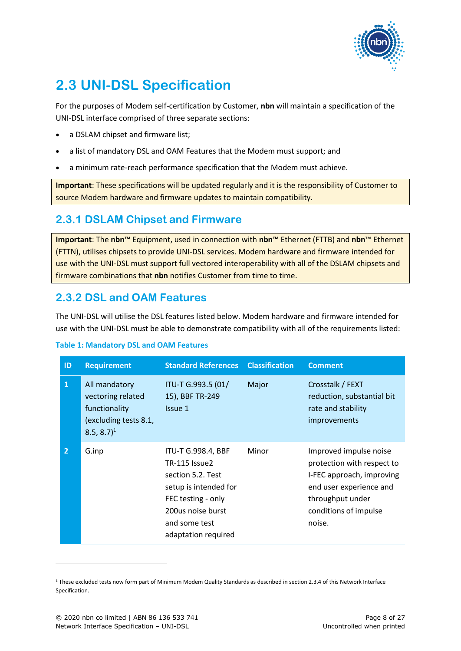

### <span id="page-7-0"></span>**2.3 UNI-DSL Specification**

For the purposes of Modem self-certification by Customer, **nbn** will maintain a specification of the UNI-DSL interface comprised of three separate sections:

- a DSLAM chipset and firmware list;
- a list of mandatory DSL and OAM Features that the Modem must support; and
- a minimum rate-reach performance specification that the Modem must achieve.

**Important**: These specifications will be updated regularly and it is the responsibility of Customer to source Modem hardware and firmware updates to maintain compatibility.

### <span id="page-7-1"></span>**2.3.1 DSLAM Chipset and Firmware**

**Important**: The **nbn**™ Equipment, used in connection with **nbn**™ Ethernet (FTTB) and **nbn**™ Ethernet (FTTN), utilises chipsets to provide UNI-DSL services. Modem hardware and firmware intended for use with the UNI-DSL must support full vectored interoperability with all of the DSLAM chipsets and firmware combinations that **nbn** notifies Customer from time to time.

### <span id="page-7-2"></span>**2.3.2 DSL and OAM Features**

The UNI-DSL will utilise the DSL features listed below. Modem hardware and firmware intended for use with the UNI-DSL must be able to demonstrate compatibility with all of the requirements listed:

#### <span id="page-7-3"></span>**Table 1: Mandatory DSL and OAM Features**

| ID             | <b>Requirement</b>                                                                                      | <b>Standard References</b>                                                                                                                                                  | <b>Classification</b> | <b>Comment</b>                                                                                                                                                      |
|----------------|---------------------------------------------------------------------------------------------------------|-----------------------------------------------------------------------------------------------------------------------------------------------------------------------------|-----------------------|---------------------------------------------------------------------------------------------------------------------------------------------------------------------|
| $\mathbf{1}$   | All mandatory<br>vectoring related<br>functionality<br>(excluding tests 8.1,<br>$8.5, 8.7$ <sup>1</sup> | ITU-T G.993.5 (01/<br>15), BBF TR-249<br>Issue 1                                                                                                                            | Major                 | Crosstalk / FEXT<br>reduction, substantial bit<br>rate and stability<br>improvements                                                                                |
| $\overline{2}$ | G.inp                                                                                                   | ITU-T G.998.4, BBF<br><b>TR-115 Issue2</b><br>section 5.2. Test<br>setup is intended for<br>FEC testing - only<br>200us noise burst<br>and some test<br>adaptation required | Minor                 | Improved impulse noise<br>protection with respect to<br>I-FEC approach, improving<br>end user experience and<br>throughput under<br>conditions of impulse<br>noise. |

<sup>1</sup> These excluded tests now form part of Minimum Modem Quality Standards as described in sectio[n 2.3.4](#page-14-0) of this Network Interface Specification.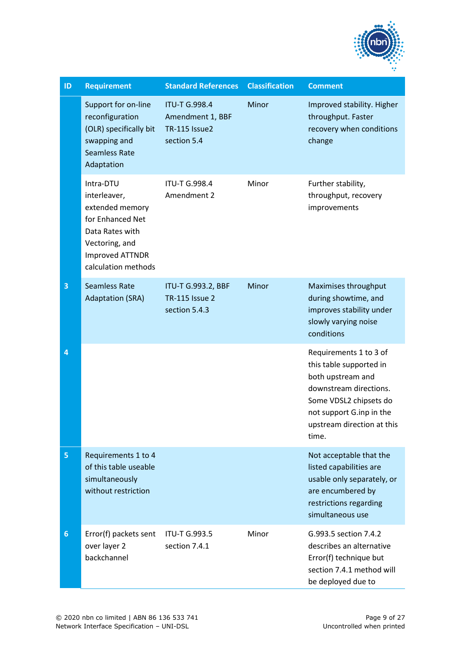

| ID              | <b>Requirement</b>                                                                                                                                     | <b>Standard References</b>                                               | <b>Classification</b> | <b>Comment</b>                                                                                                                                                                                |
|-----------------|--------------------------------------------------------------------------------------------------------------------------------------------------------|--------------------------------------------------------------------------|-----------------------|-----------------------------------------------------------------------------------------------------------------------------------------------------------------------------------------------|
|                 | Support for on-line<br>reconfiguration<br>(OLR) specifically bit<br>swapping and<br><b>Seamless Rate</b><br>Adaptation                                 | <b>ITU-T G.998.4</b><br>Amendment 1, BBF<br>TR-115 Issue2<br>section 5.4 | Minor                 | Improved stability. Higher<br>throughput. Faster<br>recovery when conditions<br>change                                                                                                        |
|                 | Intra-DTU<br>interleaver,<br>extended memory<br>for Enhanced Net<br>Data Rates with<br>Vectoring, and<br><b>Improved ATTNDR</b><br>calculation methods | <b>ITU-T G.998.4</b><br>Amendment 2                                      | Minor                 | Further stability,<br>throughput, recovery<br>improvements                                                                                                                                    |
| 3               | <b>Seamless Rate</b><br><b>Adaptation (SRA)</b>                                                                                                        | ITU-T G.993.2, BBF<br><b>TR-115 Issue 2</b><br>section 5.4.3             | Minor                 | Maximises throughput<br>during showtime, and<br>improves stability under<br>slowly varying noise<br>conditions                                                                                |
| 4               |                                                                                                                                                        |                                                                          |                       | Requirements 1 to 3 of<br>this table supported in<br>both upstream and<br>downstream directions.<br>Some VDSL2 chipsets do<br>not support G.inp in the<br>upstream direction at this<br>time. |
| 5               | Requirements 1 to 4<br>of this table useable<br>simultaneously<br>without restriction                                                                  |                                                                          |                       | Not acceptable that the<br>listed capabilities are<br>usable only separately, or<br>are encumbered by<br>restrictions regarding<br>simultaneous use                                           |
| $6\phantom{1}6$ | Error(f) packets sent<br>over layer 2<br>backchannel                                                                                                   | <b>ITU-T G.993.5</b><br>section 7.4.1                                    | Minor                 | G.993.5 section 7.4.2<br>describes an alternative<br>Error(f) technique but<br>section 7.4.1 method will<br>be deployed due to                                                                |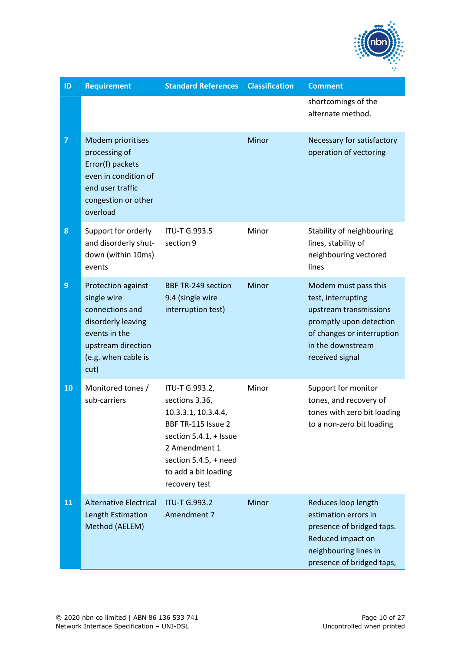

| ID             | <b>Requirement</b>                                                                                                                               | <b>Standard References</b>                                                                                                                                                                    | <b>Classification</b> | <b>Comment</b>                                                                                                                                                        |
|----------------|--------------------------------------------------------------------------------------------------------------------------------------------------|-----------------------------------------------------------------------------------------------------------------------------------------------------------------------------------------------|-----------------------|-----------------------------------------------------------------------------------------------------------------------------------------------------------------------|
|                |                                                                                                                                                  |                                                                                                                                                                                               |                       | shortcomings of the<br>alternate method.                                                                                                                              |
| $\overline{7}$ | Modem prioritises<br>processing of<br>Error(f) packets<br>even in condition of<br>end user traffic<br>congestion or other<br>overload            |                                                                                                                                                                                               | Minor                 | Necessary for satisfactory<br>operation of vectoring                                                                                                                  |
| 8              | Support for orderly<br>and disorderly shut-<br>down (within 10ms)<br>events                                                                      | <b>ITU-T G.993.5</b><br>section 9                                                                                                                                                             | Minor                 | Stability of neighbouring<br>lines, stability of<br>neighbouring vectored<br>lines                                                                                    |
| $\overline{9}$ | Protection against<br>single wire<br>connections and<br>disorderly leaving<br>events in the<br>upstream direction<br>(e.g. when cable is<br>cut) | <b>BBF TR-249 section</b><br>9.4 (single wire<br>interruption test)                                                                                                                           | Minor                 | Modem must pass this<br>test, interrupting<br>upstream transmissions<br>promptly upon detection<br>of changes or interruption<br>in the downstream<br>received signal |
| 10             | Monitored tones /<br>sub-carriers                                                                                                                | ITU-T G.993.2,<br>sections 3.36,<br>10.3.3.1, 10.3.4.4,<br>BBF TR-115 Issue 2<br>section 5.4.1, + Issue<br>2 Amendment 1<br>section $5.4.5$ , + need<br>to add a bit loading<br>recovery test | Minor                 | Support for monitor<br>tones, and recovery of<br>tones with zero bit loading<br>to a non-zero bit loading                                                             |
| 11             | <b>Alternative Electrical</b><br>Length Estimation<br>Method (AELEM)                                                                             | <b>ITU-T G.993.2</b><br>Amendment 7                                                                                                                                                           | Minor                 | Reduces loop length<br>estimation errors in<br>presence of bridged taps.<br>Reduced impact on<br>neighbouring lines in<br>presence of bridged taps,                   |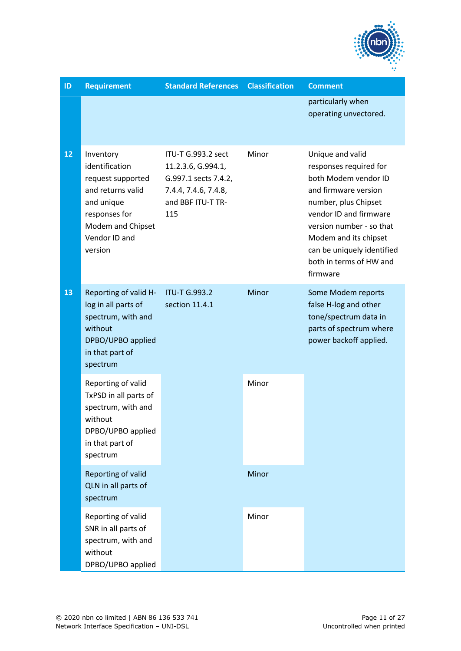

| ID | <b>Requirement</b>                                                                                                                                    | <b>Standard References</b>                                                                                           | <b>Classification</b> | <b>Comment</b>                                                                                                                                                                                                                                                         |
|----|-------------------------------------------------------------------------------------------------------------------------------------------------------|----------------------------------------------------------------------------------------------------------------------|-----------------------|------------------------------------------------------------------------------------------------------------------------------------------------------------------------------------------------------------------------------------------------------------------------|
|    |                                                                                                                                                       |                                                                                                                      |                       | particularly when<br>operating unvectored.                                                                                                                                                                                                                             |
| 12 | Inventory<br>identification<br>request supported<br>and returns valid<br>and unique<br>responses for<br>Modem and Chipset<br>Vendor ID and<br>version | ITU-T G.993.2 sect<br>11.2.3.6, G.994.1,<br>G.997.1 sects 7.4.2,<br>7.4.4, 7.4.6, 7.4.8,<br>and BBF ITU-T TR-<br>115 | Minor                 | Unique and valid<br>responses required for<br>both Modem vendor ID<br>and firmware version<br>number, plus Chipset<br>vendor ID and firmware<br>version number - so that<br>Modem and its chipset<br>can be uniquely identified<br>both in terms of HW and<br>firmware |
| 13 | Reporting of valid H-<br>log in all parts of<br>spectrum, with and<br>without<br>DPBO/UPBO applied<br>in that part of<br>spectrum                     | <b>ITU-T G.993.2</b><br>section 11.4.1                                                                               | Minor                 | Some Modem reports<br>false H-log and other<br>tone/spectrum data in<br>parts of spectrum where<br>power backoff applied.                                                                                                                                              |
|    | Reporting of valid<br>TxPSD in all parts of<br>spectrum, with and<br>without<br>DPBO/UPBO applied<br>in that part of<br>spectrum                      |                                                                                                                      | Minor                 |                                                                                                                                                                                                                                                                        |
|    | Reporting of valid<br>QLN in all parts of<br>spectrum                                                                                                 |                                                                                                                      | Minor                 |                                                                                                                                                                                                                                                                        |
|    | Reporting of valid<br>SNR in all parts of<br>spectrum, with and<br>without<br>DPBO/UPBO applied                                                       |                                                                                                                      | Minor                 |                                                                                                                                                                                                                                                                        |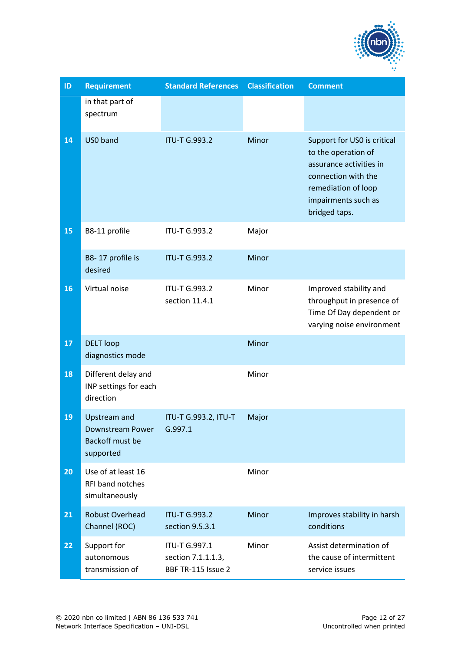

| ID              | <b>Requirement</b>                                                      | <b>Standard References</b>                                | <b>Classification</b> | <b>Comment</b>                                                                                                                                                      |
|-----------------|-------------------------------------------------------------------------|-----------------------------------------------------------|-----------------------|---------------------------------------------------------------------------------------------------------------------------------------------------------------------|
|                 | in that part of<br>spectrum                                             |                                                           |                       |                                                                                                                                                                     |
| $\overline{14}$ | US0 band                                                                | <b>ITU-T G.993.2</b>                                      | Minor                 | Support for US0 is critical<br>to the operation of<br>assurance activities in<br>connection with the<br>remediation of loop<br>impairments such as<br>bridged taps. |
| 15              | B8-11 profile                                                           | <b>ITU-T G.993.2</b>                                      | Major                 |                                                                                                                                                                     |
|                 | B8-17 profile is<br>desired                                             | <b>ITU-T G.993.2</b>                                      | Minor                 |                                                                                                                                                                     |
| 16              | Virtual noise                                                           | <b>ITU-T G.993.2</b><br>section 11.4.1                    | Minor                 | Improved stability and<br>throughput in presence of<br>Time Of Day dependent or<br>varying noise environment                                                        |
| 17              | <b>DELT</b> loop<br>diagnostics mode                                    |                                                           | Minor                 |                                                                                                                                                                     |
| 18              | Different delay and<br>INP settings for each<br>direction               |                                                           | Minor                 |                                                                                                                                                                     |
| 19              | <b>Upstream and</b><br>Downstream Power<br>Backoff must be<br>supported | ITU-T G.993.2, ITU-T<br>G.997.1                           | Major                 |                                                                                                                                                                     |
| 20              | Use of at least 16<br><b>RFI band notches</b><br>simultaneously         |                                                           | Minor                 |                                                                                                                                                                     |
| 21              | <b>Robust Overhead</b><br>Channel (ROC)                                 | <b>ITU-T G.993.2</b><br>section 9.5.3.1                   | Minor                 | Improves stability in harsh<br>conditions                                                                                                                           |
| 22              | Support for<br>autonomous<br>transmission of                            | ITU-T G.997.1<br>section 7.1.1.1.3,<br>BBF TR-115 Issue 2 | Minor                 | Assist determination of<br>the cause of intermittent<br>service issues                                                                                              |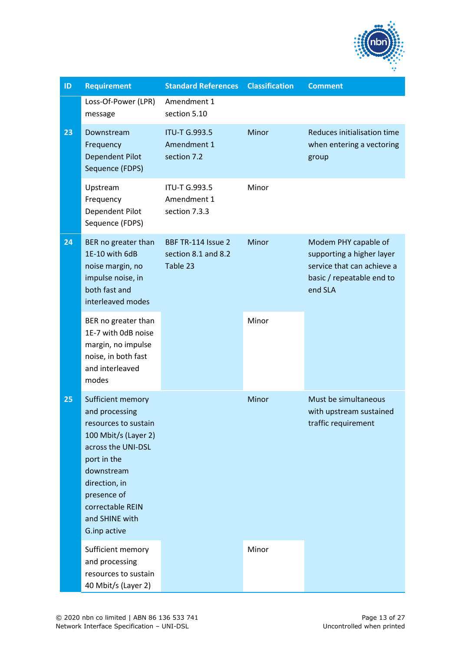

| ID | <b>Requirement</b>                                                                                                                                                                                                           | <b>Standard References</b>                            | <b>Classification</b> | <b>Comment</b>                                                                                                          |
|----|------------------------------------------------------------------------------------------------------------------------------------------------------------------------------------------------------------------------------|-------------------------------------------------------|-----------------------|-------------------------------------------------------------------------------------------------------------------------|
|    | Loss-Of-Power (LPR)<br>message                                                                                                                                                                                               | Amendment 1<br>section 5.10                           |                       |                                                                                                                         |
| 23 | Downstream<br>Frequency<br>Dependent Pilot<br>Sequence (FDPS)                                                                                                                                                                | <b>ITU-T G.993.5</b><br>Amendment 1<br>section 7.2    | Minor                 | Reduces initialisation time<br>when entering a vectoring<br>group                                                       |
|    | Upstream<br>Frequency<br>Dependent Pilot<br>Sequence (FDPS)                                                                                                                                                                  | <b>ITU-T G.993.5</b><br>Amendment 1<br>section 7.3.3  | Minor                 |                                                                                                                         |
| 24 | BER no greater than<br>1E-10 with 6dB<br>noise margin, no<br>impulse noise, in<br>both fast and<br>interleaved modes                                                                                                         | BBF TR-114 Issue 2<br>section 8.1 and 8.2<br>Table 23 |                       | Modem PHY capable of<br>supporting a higher layer<br>service that can achieve a<br>basic / repeatable end to<br>end SLA |
|    | BER no greater than<br>1E-7 with OdB noise<br>margin, no impulse<br>noise, in both fast<br>and interleaved<br>modes                                                                                                          |                                                       | Minor                 |                                                                                                                         |
| 25 | Sufficient memory<br>and processing<br>resources to sustain<br>100 Mbit/s (Layer 2)<br>across the UNI-DSL<br>port in the<br>downstream<br>direction, in<br>presence of<br>correctable REIN<br>and SHINE with<br>G.inp active |                                                       | Minor                 | Must be simultaneous<br>with upstream sustained<br>traffic requirement                                                  |
|    | Sufficient memory<br>and processing<br>resources to sustain<br>40 Mbit/s (Layer 2)                                                                                                                                           |                                                       | Minor                 |                                                                                                                         |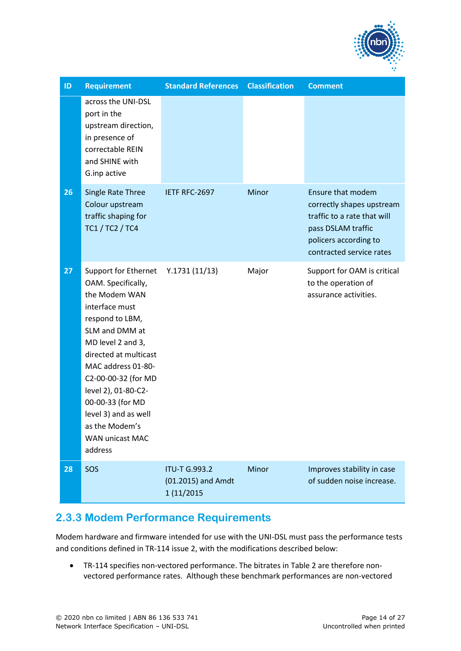

| ID | <b>Requirement</b>                                                                                                                                                                                                                                                                                                                      | <b>Standard References</b>                               | <b>Classification</b> | <b>Comment</b>                                                                                                                                                  |
|----|-----------------------------------------------------------------------------------------------------------------------------------------------------------------------------------------------------------------------------------------------------------------------------------------------------------------------------------------|----------------------------------------------------------|-----------------------|-----------------------------------------------------------------------------------------------------------------------------------------------------------------|
|    | across the UNI-DSL<br>port in the<br>upstream direction,<br>in presence of<br>correctable REIN<br>and SHINE with<br>G.inp active                                                                                                                                                                                                        |                                                          |                       |                                                                                                                                                                 |
| 26 | Single Rate Three<br>Colour upstream<br>traffic shaping for<br>TC1 / TC2 / TC4                                                                                                                                                                                                                                                          | IETF RFC-2697                                            | Minor                 | <b>Ensure that modem</b><br>correctly shapes upstream<br>traffic to a rate that will<br>pass DSLAM traffic<br>policers according to<br>contracted service rates |
| 27 | Support for Ethernet<br>OAM. Specifically,<br>the Modem WAN<br>interface must<br>respond to LBM,<br>SLM and DMM at<br>MD level 2 and 3,<br>directed at multicast<br>MAC address 01-80-<br>C2-00-00-32 (for MD<br>level 2), 01-80-C2-<br>00-00-33 (for MD<br>level 3) and as well<br>as the Modem's<br><b>WAN unicast MAC</b><br>address | Y.1731(11/13)                                            | Major                 | Support for OAM is critical<br>to the operation of<br>assurance activities.                                                                                     |
| 28 | SOS                                                                                                                                                                                                                                                                                                                                     | <b>ITU-T G.993.2</b><br>(01.2015) and Amdt<br>1 (11/2015 | Minor                 | Improves stability in case<br>of sudden noise increase.                                                                                                         |

### <span id="page-13-0"></span>**2.3.3 Modem Performance Requirements**

Modem hardware and firmware intended for use with the UNI-DSL must pass the performance tests and conditions defined in TR-114 issue 2, with the modifications described below:

• TR-114 specifies non-vectored performance. The bitrates in [Table 2](#page-14-2) are therefore nonvectored performance rates. Although these benchmark performances are non-vectored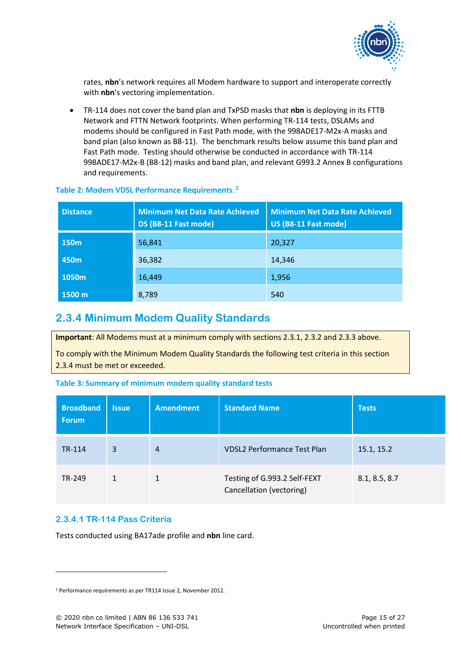

rates, **nbn**'s network requires all Modem hardware to support and interoperate correctly with **nbn**'s vectoring implementation.

• TR-114 does not cover the band plan and TxPSD masks that **nbn** is deploying in its FTTB Network and FTTN Network footprints. When performing TR-114 tests, DSLAMs and modems should be configured in Fast Path mode, with the 998ADE17-M2x-A masks and band plan (also known as B8-11). The benchmark results below assume this band plan and Fast Path mode. Testing should otherwise be conducted in accordance with TR-114 998ADE17-M2x-B (B8-12) masks and band plan, and relevant G993.2 Annex B configurations and requirements.

| <b>Distance</b>  | <b>Minimum Net Data Rate Achieved</b><br>DS (B8-11 Fast mode) | <b>Minimum Net Data Rate Achieved</b><br>US (B8-11 Fast mode) |
|------------------|---------------------------------------------------------------|---------------------------------------------------------------|
| 150 <sub>m</sub> | 56,841                                                        | 20,327                                                        |
| 450 <sub>m</sub> | 36,382                                                        | 14,346                                                        |
| 1050m            | 16,449                                                        | 1,956                                                         |
| 1500 m           | 8,789                                                         | 540                                                           |

#### <span id="page-14-2"></span>**Table 2: Modem VDSL Performance Requirements.**<sup>2</sup>

#### <span id="page-14-0"></span>**2.3.4 Minimum Modem Quality Standards**

**Important**: All Modems must at a minimum comply with sections 2.3.1, 2.3.2 and 2.3.3 above.

To comply with the Minimum Modem Quality Standards the following test criteria in this section 2.3.4 must be met or exceeded.

<span id="page-14-3"></span>

| <b>Broadband</b><br><b>Forum</b> | <b>Issue</b> | <b>Amendment</b> | <b>Standard Name</b>                                     | <b>Tests</b>  |
|----------------------------------|--------------|------------------|----------------------------------------------------------|---------------|
| TR-114                           | 3            | $\overline{4}$   | <b>VDSL2 Performance Test Plan</b>                       | 15.1, 15.2    |
| TR-249                           | 1            |                  | Testing of G.993.2 Self-FEXT<br>Cancellation (vectoring) | 8.1, 8.5, 8.7 |

#### <span id="page-14-1"></span>**2.3.4.1 TR-114 Pass Criteria**

Tests conducted using BA17ade profile and **nbn** line card.

<sup>2</sup> Performance requirements as per TR114 Issue 2, November 2012.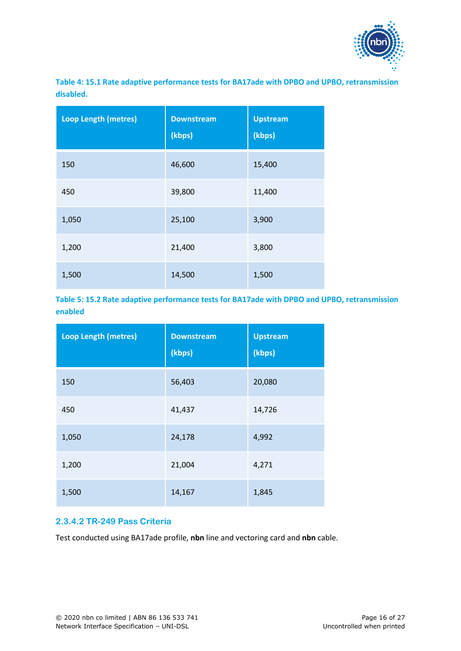

<span id="page-15-1"></span>**Table 4: 15.1 Rate adaptive performance tests for BA17ade with DPBO and UPBO, retransmission disabled.**

| <b>Loop Length (metres)</b> | <b>Downstream</b><br>(kbps) | <b>Upstream</b><br>(kbps) |
|-----------------------------|-----------------------------|---------------------------|
| 150                         | 46,600                      | 15,400                    |
| 450                         | 39,800                      | 11,400                    |
| 1,050                       | 25,100                      | 3,900                     |
| 1,200                       | 21,400                      | 3,800                     |
| 1,500                       | 14,500                      | 1,500                     |

<span id="page-15-2"></span>**Table 5: 15.2 Rate adaptive performance tests for BA17ade with DPBO and UPBO, retransmission enabled**

| <b>Loop Length (metres)</b> | <b>Downstream</b><br>(kbps) | <b>Upstream</b><br>(kbps) |
|-----------------------------|-----------------------------|---------------------------|
| 150                         | 56,403                      | 20,080                    |
| 450                         | 41,437                      | 14,726                    |
| 1,050                       | 24,178                      | 4,992                     |
| 1,200                       | 21,004                      | 4,271                     |
| 1,500                       | 14,167                      | 1,845                     |

#### <span id="page-15-0"></span>**2.3.4.2 TR-249 Pass Criteria**

Test conducted using BA17ade profile, **nbn** line and vectoring card and **nbn** cable.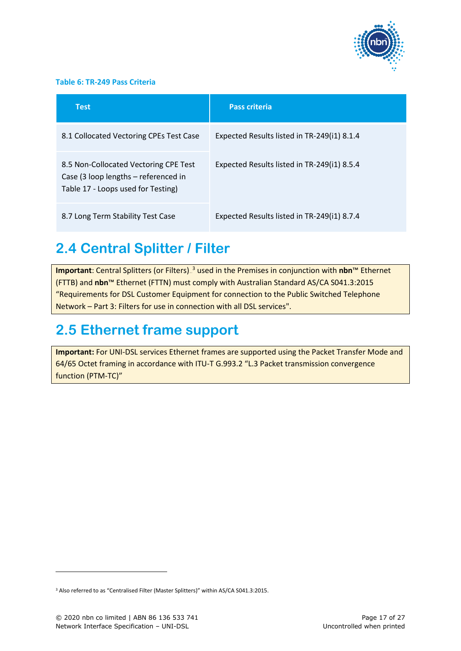

#### <span id="page-16-2"></span>**Table 6: TR-249 Pass Criteria**

| <b>Test</b>                                                                                                         | <b>Pass criteria</b>                        |
|---------------------------------------------------------------------------------------------------------------------|---------------------------------------------|
| 8.1 Collocated Vectoring CPEs Test Case                                                                             | Expected Results listed in TR-249(i1) 8.1.4 |
| 8.5 Non-Collocated Vectoring CPE Test<br>Case (3 loop lengths – referenced in<br>Table 17 - Loops used for Testing) | Expected Results listed in TR-249(i1) 8.5.4 |
| 8.7 Long Term Stability Test Case                                                                                   | Expected Results listed in TR-249(i1) 8.7.4 |

### <span id="page-16-0"></span>**2.4 Central Splitter / Filter**

**Important**: Central Splitters (or Filters)<sub>-</sub><sup>3</sup> used in the Premises in conjunction with **nbn**™ Ethernet (FTTB) and **nbn**™ Ethernet (FTTN) must comply with Australian Standard AS/CA S041.3:2015 "Requirements for DSL Customer Equipment for connection to the Public Switched Telephone Network – Part 3: Filters for use in connection with all DSL services".

### <span id="page-16-1"></span>**2.5 Ethernet frame support**

**Important:** For UNI-DSL services Ethernet frames are supported using the Packet Transfer Mode and 64/65 Octet framing in accordance with ITU-T G.993.2 "L.3 Packet transmission convergence function (PTM-TC)"

<sup>&</sup>lt;sup>3</sup> Also referred to as "Centralised Filter (Master Splitters)" within AS/CA S041.3:2015.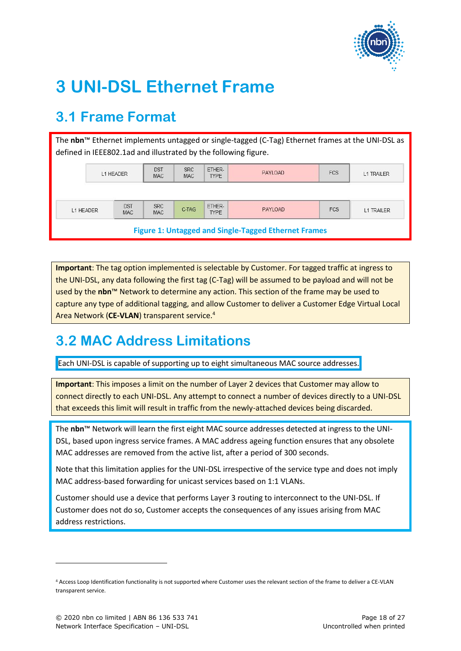

## <span id="page-17-0"></span>**3 UNI-DSL Ethernet Frame**

### <span id="page-17-1"></span>**3.1 Frame Format**

| The nbn <sup>™</sup> Ethernet implements untagged or single-tagged (C-Tag) Ethernet frames at the UNI-DSL as<br>defined in IEEE802.1ad and illustrated by the following figure. |  |                          |                          |                       |                       |            |                   |                   |
|---------------------------------------------------------------------------------------------------------------------------------------------------------------------------------|--|--------------------------|--------------------------|-----------------------|-----------------------|------------|-------------------|-------------------|
| L1 HEADER                                                                                                                                                                       |  | <b>DST</b><br><b>MAC</b> | <b>SRC</b><br><b>MAC</b> | ETHER-<br><b>TYPE</b> | PAYLOAD               | <b>FCS</b> | <b>L1 TRAILER</b> |                   |
|                                                                                                                                                                                 |  |                          |                          |                       |                       |            |                   |                   |
| L1 HEADER                                                                                                                                                                       |  | <b>DST</b><br><b>MAC</b> | <b>SRC</b><br><b>MAC</b> | C-TAG                 | ETHER-<br><b>TYPE</b> | PAYLOAD    | <b>FCS</b>        | <b>L1 TRAILER</b> |
| <b>Figure 1: Untagged and Single-Tagged Ethernet Frames</b>                                                                                                                     |  |                          |                          |                       |                       |            |                   |                   |

<span id="page-17-3"></span>**Important**: The tag option implemented is selectable by Customer. For tagged traffic at ingress to the UNI-DSL, any data following the first tag (C-Tag) will be assumed to be payload and will not be used by the **nbn**™ Network to determine any action. This section of the frame may be used to capture any type of additional tagging, and allow Customer to deliver a Customer Edge Virtual Local Area Network (**CE-VLAN**) transparent service. 4

### <span id="page-17-2"></span>**3.2 MAC Address Limitations**

Each UNI-DSL is capable of supporting up to eight simultaneous MAC source addresses.

**Important**: This imposes a limit on the number of Layer 2 devices that Customer may allow to connect directly to each UNI-DSL. Any attempt to connect a number of devices directly to a UNI-DSL that exceeds this limit will result in traffic from the newly-attached devices being discarded.

The **nbn**™ Network will learn the first eight MAC source addresses detected at ingress to the UNI-DSL, based upon ingress service frames. A MAC address ageing function ensures that any obsolete MAC addresses are removed from the active list, after a period of 300 seconds.

Note that this limitation applies for the UNI-DSL irrespective of the service type and does not imply MAC address-based forwarding for unicast services based on 1:1 VLANs.

Customer should use a device that performs Layer 3 routing to interconnect to the UNI-DSL. If Customer does not do so, Customer accepts the consequences of any issues arising from MAC address restrictions.

<sup>4</sup> Access Loop Identification functionality is not supported where Customer uses the relevant section of the frame to deliver a CE-VLAN transparent service.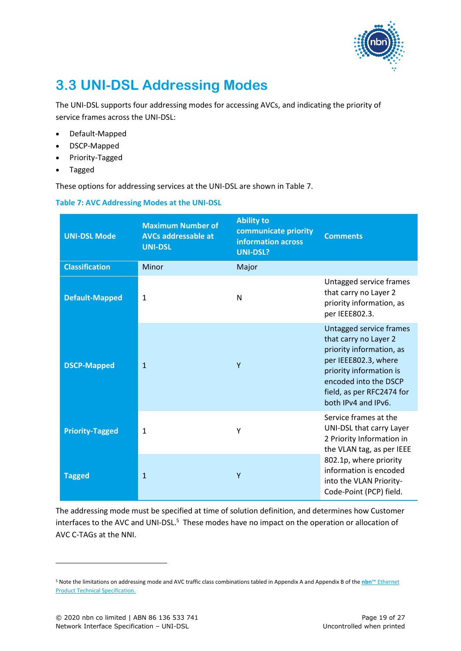

### <span id="page-18-0"></span>**3.3 UNI-DSL Addressing Modes**

The UNI-DSL supports four addressing modes for accessing AVCs, and indicating the priority of service frames across the UNI-DSL:

- Default-Mapped
- DSCP-Mapped
- Priority-Tagged
- Tagged

These options for addressing services at the UNI-DSL are shown in [Table 7.](#page-18-1)

<span id="page-18-1"></span>

| Table 7: AVC Addressing Modes at the UNI-DSL |  |
|----------------------------------------------|--|
|----------------------------------------------|--|

| <b>UNI-DSL Mode</b>    | <b>Maximum Number of</b><br><b>AVCs addressable at</b><br><b>UNI-DSL</b> | <b>Ability to</b><br>communicate priority<br>information across<br><b>UNI-DSL?</b> | <b>Comments</b>                                                                                                                                                                                              |
|------------------------|--------------------------------------------------------------------------|------------------------------------------------------------------------------------|--------------------------------------------------------------------------------------------------------------------------------------------------------------------------------------------------------------|
| <b>Classification</b>  | Minor                                                                    | Major                                                                              |                                                                                                                                                                                                              |
| <b>Default-Mapped</b>  | $\mathbf{1}$                                                             | N                                                                                  | Untagged service frames<br>that carry no Layer 2<br>priority information, as<br>per IEEE802.3.                                                                                                               |
| <b>DSCP-Mapped</b>     | $\mathbf{1}$                                                             | Y                                                                                  | Untagged service frames<br>that carry no Layer 2<br>priority information, as<br>per IEEE802.3, where<br>priority information is<br>encoded into the DSCP<br>field, as per RFC2474 for<br>both IPv4 and IPv6. |
| <b>Priority-Tagged</b> | 1                                                                        | Y                                                                                  | Service frames at the<br>UNI-DSL that carry Layer<br>2 Priority Information in<br>the VLAN tag, as per IEEE                                                                                                  |
| <b>Tagged</b>          | $\mathbf{1}$                                                             | Y                                                                                  | 802.1p, where priority<br>information is encoded<br>into the VLAN Priority-<br>Code-Point (PCP) field.                                                                                                       |

The addressing mode must be specified at time of solution definition, and determines how Customer interfaces to the AVC and UNI-DSL.<sup>5</sup> These modes have no impact on the operation or allocation of AVC C-TAGs at the NNI.

<sup>5</sup> Note the limitations on addressing mode and AVC traffic class combinations tabled in Appendix A and Appendix B of the **nbn**™ Ethernet Product Technical Specification.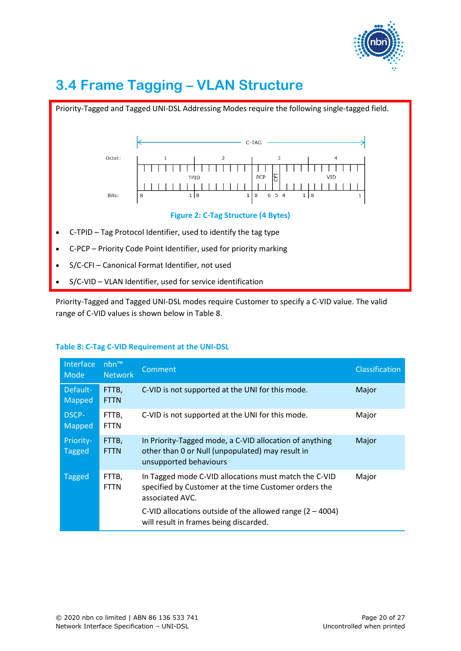

### <span id="page-19-0"></span>**3.4 Frame Tagging – VLAN Structure**



<span id="page-19-1"></span>Priority-Tagged and Tagged UNI-DSL modes require Customer to specify a C-VID value. The valid range of C-VID values is shown below in [Table 8.](#page-19-2)

| Interface<br>Mode             | nbn™<br><b>Network</b> | Comment                                                                                                                               | <b>Classification</b> |
|-------------------------------|------------------------|---------------------------------------------------------------------------------------------------------------------------------------|-----------------------|
| Default-<br><b>Mapped</b>     | FTTB,<br><b>FTTN</b>   | C-VID is not supported at the UNI for this mode.                                                                                      | Major                 |
| <b>DSCP-</b><br><b>Mapped</b> | FTTB,<br><b>FTTN</b>   | C-VID is not supported at the UNI for this mode.                                                                                      | Major                 |
| Priority-<br><b>Tagged</b>    | FTTB,<br><b>FTTN</b>   | In Priority-Tagged mode, a C-VID allocation of anything<br>other than 0 or Null (unpopulated) may result in<br>unsupported behaviours | Major                 |
| <b>Tagged</b>                 | FTTB,<br><b>FTTN</b>   | In Tagged mode C-VID allocations must match the C-VID<br>specified by Customer at the time Customer orders the<br>associated AVC.     | Major                 |
|                               |                        | C-VID allocations outside of the allowed range $(2 - 4004)$<br>will result in frames being discarded.                                 |                       |

#### <span id="page-19-2"></span>**Table 8: C-Tag C-VID Requirement at the UNI-DSL**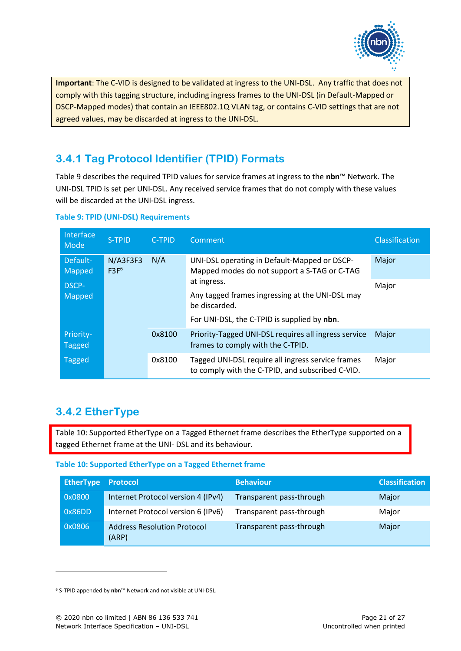

**Important**: The C-VID is designed to be validated at ingress to the UNI-DSL. Any traffic that does not comply with this tagging structure, including ingress frames to the UNI-DSL (in Default-Mapped or DSCP-Mapped modes) that contain an IEEE802.1Q VLAN tag, or contains C-VID settings that are not agreed values, may be discarded at ingress to the UNI-DSL.

### <span id="page-20-0"></span>**3.4.1 Tag Protocol Identifier (TPID) Formats**

[Table 9](#page-20-2) describes the required TPID values for service frames at ingress to the **nbn**™ Network. The UNI-DSL TPID is set per UNI-DSL. Any received service frames that do not comply with these values will be discarded at the UNI-DSL ingress.

| Interface<br>Mode       | S-TPID                                 | <b>C-TPID</b> | Comment                                                                                                                                    | <b>Classification</b> |
|-------------------------|----------------------------------------|---------------|--------------------------------------------------------------------------------------------------------------------------------------------|-----------------------|
| Default-<br>Mapped      | $N/$ A3F3F3<br>N/A<br>F3F <sup>6</sup> |               | UNI-DSL operating in Default-Mapped or DSCP-<br>Mapped modes do not support a S-TAG or C-TAG                                               | Major                 |
| DSCP-<br>Mapped         |                                        |               | at ingress.<br>Any tagged frames ingressing at the UNI-DSL may<br>be discarded.<br>For UNI-DSL, the C-TPID is supplied by nbn.             | Major                 |
| Priority-               |                                        | 0x8100        | Priority-Tagged UNI-DSL requires all ingress service                                                                                       | Major                 |
| Tagged<br><b>Tagged</b> |                                        | 0x8100        | frames to comply with the C-TPID.<br>Tagged UNI-DSL require all ingress service frames<br>to comply with the C-TPID, and subscribed C-VID. | Major                 |

#### <span id="page-20-2"></span>**Table 9: TPID (UNI-DSL) Requirements**

### <span id="page-20-1"></span>**3.4.2 EtherType**

[Table 10: Supported EtherType on a Tagged Ethernet frame](#page-20-3) describes the EtherType supported on a tagged Ethernet frame at the UNI- DSL and its behaviour.

#### <span id="page-20-3"></span>**Table 10: Supported EtherType on a Tagged Ethernet frame**

| <b>EtherType Protocol</b> |                                             | <b>Behaviour</b>         | <b>Classification</b> |
|---------------------------|---------------------------------------------|--------------------------|-----------------------|
| 0x0800                    | Internet Protocol version 4 (IPv4)          | Transparent pass-through | Major                 |
| 0x86DD                    | Internet Protocol version 6 (IPv6)          | Transparent pass-through | Major                 |
| 0x0806                    | <b>Address Resolution Protocol</b><br>(ARP) | Transparent pass-through | Major                 |

<sup>6</sup> S-TPID appended by **nbn**™ Network and not visible at UNI-DSL.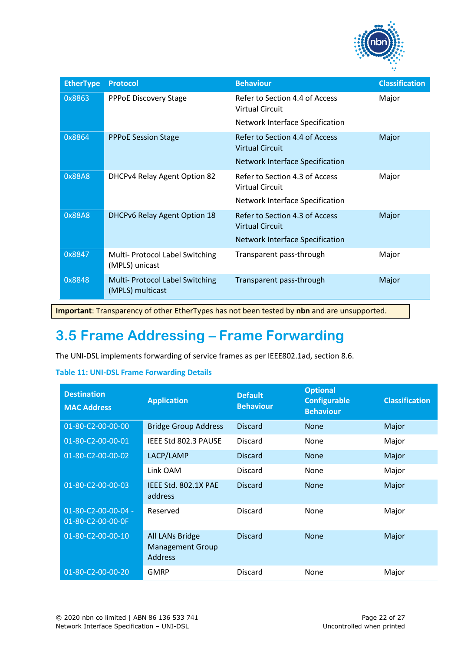

| <b>EtherType</b> | <b>Protocol</b>                                     | <b>Behaviour</b>                                         | <b>Classification</b> |
|------------------|-----------------------------------------------------|----------------------------------------------------------|-----------------------|
| 0x8863           | <b>PPPoE Discovery Stage</b>                        | Refer to Section 4.4 of Access<br><b>Virtual Circuit</b> | Major                 |
|                  |                                                     | Network Interface Specification                          |                       |
| 0x8864           | <b>PPPOE Session Stage</b>                          | Refer to Section 4.4 of Access<br><b>Virtual Circuit</b> | Major                 |
|                  |                                                     | <b>Network Interface Specification</b>                   |                       |
| 0x88A8           | DHCPv4 Relay Agent Option 82                        | Refer to Section 4.3 of Access<br>Virtual Circuit        | Major                 |
|                  |                                                     | <b>Network Interface Specification</b>                   |                       |
| 0x88A8           | <b>DHCPv6 Relay Agent Option 18</b>                 | Refer to Section 4.3 of Access<br><b>Virtual Circuit</b> | Major                 |
|                  |                                                     | <b>Network Interface Specification</b>                   |                       |
| 0x8847           | Multi- Protocol Label Switching<br>(MPLS) unicast   | Transparent pass-through                                 | Major                 |
| 0x8848           | Multi- Protocol Label Switching<br>(MPLS) multicast | Transparent pass-through                                 | Major                 |

**Important**: Transparency of other EtherTypes has not been tested by **nbn** and are unsupported.

### <span id="page-21-0"></span>**3.5 Frame Addressing – Frame Forwarding**

The UNI-DSL implements forwarding of service frames as per IEEE802.1ad, section 8.6.

#### <span id="page-21-1"></span>**Table 11: UNI-DSL Frame Forwarding Details**

| <b>Destination</b><br><b>MAC Address</b> | <b>Application</b>                                           | <b>Default</b><br><b>Behaviour</b> | <b>Optional</b><br><b>Configurable</b><br><b>Behaviour</b> | <b>Classification</b> |
|------------------------------------------|--------------------------------------------------------------|------------------------------------|------------------------------------------------------------|-----------------------|
| 01-80-C2-00-00-00                        | <b>Bridge Group Address</b>                                  | <b>Discard</b>                     | <b>None</b>                                                | Major                 |
| 01-80-C2-00-00-01                        | IEEE Std 802.3 PAUSE                                         | <b>Discard</b>                     | None                                                       | Major                 |
| 01-80-C2-00-00-02                        | LACP/LAMP                                                    | <b>Discard</b>                     | <b>None</b>                                                | Major                 |
|                                          | Link OAM                                                     | <b>Discard</b>                     | <b>None</b>                                                | Major                 |
| 01-80-C2-00-00-03                        | IEEE Std. 802.1X PAE<br>address                              | <b>Discard</b>                     | <b>None</b>                                                | Major                 |
| 01-80-C2-00-00-04 -<br>01-80-C2-00-00-0F | Reserved                                                     | <b>Discard</b>                     | None                                                       | Major                 |
| 01-80-C2-00-00-10                        | All LANs Bridge<br><b>Management Group</b><br><b>Address</b> | <b>Discard</b>                     | <b>None</b>                                                | Major                 |
| 01-80-C2-00-00-20                        | <b>GMRP</b>                                                  | <b>Discard</b>                     | None                                                       | Major                 |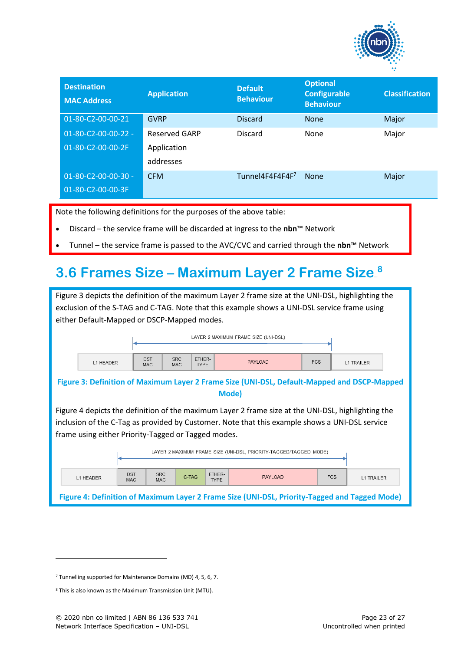

| <b>Destination</b><br><b>MAC Address</b> | <b>Application</b> | <b>Default</b><br><b>Behaviour</b> | <b>Optional</b><br><b>Configurable</b><br><b>Behaviour</b> | <b>Classification</b> |
|------------------------------------------|--------------------|------------------------------------|------------------------------------------------------------|-----------------------|
| 01-80-C2-00-00-21                        | <b>GVRP</b>        | <b>Discard</b>                     | <b>None</b>                                                | Major                 |
| 01-80-C2-00-00-22 -                      | Reserved GARP      | <b>Discard</b>                     | None                                                       | Major                 |
| 01-80-C2-00-00-2F                        | Application        |                                    |                                                            |                       |
|                                          | addresses          |                                    |                                                            |                       |
| $01 - 80 - C2 - 00 - 00 - 30 -$          | <b>CFM</b>         | Tunnel4F4F4F4F7                    | <b>None</b>                                                | Major                 |
| 01-80-C2-00-00-3F                        |                    |                                    |                                                            |                       |

Note the following definitions for the purposes of the above table:

- Discard the service frame will be discarded at ingress to the **nbn**™ Network
- Tunnel the service frame is passed to the AVC/CVC and carried through the **nbn**™ Network

### <span id="page-22-0"></span>**3.6 Frames Size – Maximum Layer 2 Frame Size.**<sup>8</sup>

<span id="page-22-1"></span>

| Figure 3 depicts the definition of the maximum Layer 2 frame size at the UNI-DSL, highlighting the |            |                          |                                                   |             |                                                                                                    |            |                                 |  |
|----------------------------------------------------------------------------------------------------|------------|--------------------------|---------------------------------------------------|-------------|----------------------------------------------------------------------------------------------------|------------|---------------------------------|--|
|                                                                                                    |            |                          |                                                   |             | exclusion of the S-TAG and C-TAG. Note that this example shows a UNI-DSL service frame using       |            |                                 |  |
| either Default-Mapped or DSCP-Mapped modes.                                                        |            |                          |                                                   |             |                                                                                                    |            |                                 |  |
|                                                                                                    |            |                          |                                                   |             |                                                                                                    |            |                                 |  |
|                                                                                                    |            |                          |                                                   |             | LAYER 2 MAXIMUM FRAME SIZE (UNI-DSL)                                                               |            |                                 |  |
|                                                                                                    |            |                          |                                                   |             |                                                                                                    |            |                                 |  |
| L1 HEADER                                                                                          |            | <b>DST</b><br><b>MAC</b> | ETHER-<br><b>SRC</b><br><b>TYPE</b><br><b>MAC</b> |             | <b>PAYLOAD</b>                                                                                     | <b>FCS</b> | <b>L1 TRAILER</b>               |  |
|                                                                                                    |            |                          |                                                   |             |                                                                                                    |            |                                 |  |
|                                                                                                    |            |                          |                                                   |             | Figure 3: Definition of Maximum Layer 2 Frame Size (UNI-DSL, Default-Mapped and DSCP-Mapped        |            |                                 |  |
|                                                                                                    |            |                          |                                                   |             | Mode)                                                                                              |            |                                 |  |
|                                                                                                    |            |                          |                                                   |             | Figure 4 depicts the definition of the maximum Layer 2 frame size at the UNI-DSL, highlighting the |            |                                 |  |
|                                                                                                    |            |                          |                                                   |             |                                                                                                    |            |                                 |  |
|                                                                                                    |            |                          |                                                   |             | inclusion of the C-Tag as provided by Customer. Note that this example shows a UNI-DSL service     |            |                                 |  |
| frame using either Priority-Tagged or Tagged modes.                                                |            |                          |                                                   |             |                                                                                                    |            |                                 |  |
|                                                                                                    |            |                          |                                                   |             | LAYER 2 MAXIMUM FRAME SIZE (UNI-DSL, PRIORITY-TAGGED/TAGGED MODE)                                  |            |                                 |  |
|                                                                                                    |            |                          |                                                   |             |                                                                                                    |            |                                 |  |
| <b>DST</b><br><b>SRC</b><br>ETHER-                                                                 |            |                          |                                                   |             |                                                                                                    |            |                                 |  |
| L1 HEADER                                                                                          | <b>MAC</b> | <b>MAC</b>               | C-TAG                                             | <b>TYPE</b> | <b>PAYLOAD</b>                                                                                     |            | <b>FCS</b><br><b>L1 TRAILER</b> |  |
|                                                                                                    |            |                          |                                                   |             |                                                                                                    |            |                                 |  |
| Figure 4: Definition of Maximum Layer 2 Frame Size (UNI-DSL, Priority-Tagged and Tagged Mode)      |            |                          |                                                   |             |                                                                                                    |            |                                 |  |

<span id="page-22-2"></span><sup>7</sup> Tunnelling supported for Maintenance Domains (MD) 4, 5, 6, 7.

<sup>8</sup> This is also known as the Maximum Transmission Unit (MTU).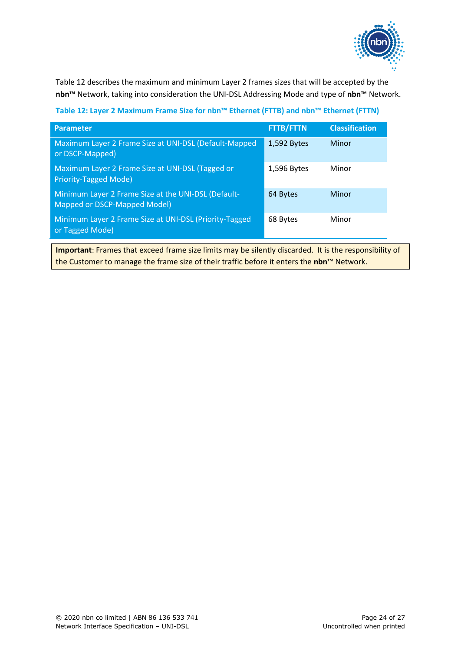

[Table 12](#page-23-0) describes the maximum and minimum Layer 2 frames sizes that will be accepted by the **nbn**™ Network, taking into consideration the UNI-DSL Addressing Mode and type of **nbn**™ Network.

<span id="page-23-0"></span>**Table 12: Layer 2 Maximum Frame Size for nbn™ Ethernet (FTTB) and nbn™ Ethernet (FTTN)**

| <b>Parameter</b>                                                                    | <b>FTTB/FTTN</b> | <b>Classification</b> |
|-------------------------------------------------------------------------------------|------------------|-----------------------|
| Maximum Layer 2 Frame Size at UNI-DSL (Default-Mapped<br>or DSCP-Mapped)            | 1,592 Bytes      | Minor                 |
| Maximum Layer 2 Frame Size at UNI-DSL (Tagged or<br>Priority-Tagged Mode)           | 1,596 Bytes      | Minor                 |
| Minimum Layer 2 Frame Size at the UNI-DSL (Default-<br>Mapped or DSCP-Mapped Model) | 64 Bytes         | Minor                 |
| Minimum Layer 2 Frame Size at UNI-DSL (Priority-Tagged<br>or Tagged Mode)           | 68 Bytes         | Minor                 |

**Important**: Frames that exceed frame size limits may be silently discarded. It is the responsibility of the Customer to manage the frame size of their traffic before it enters the **nbn**™ Network.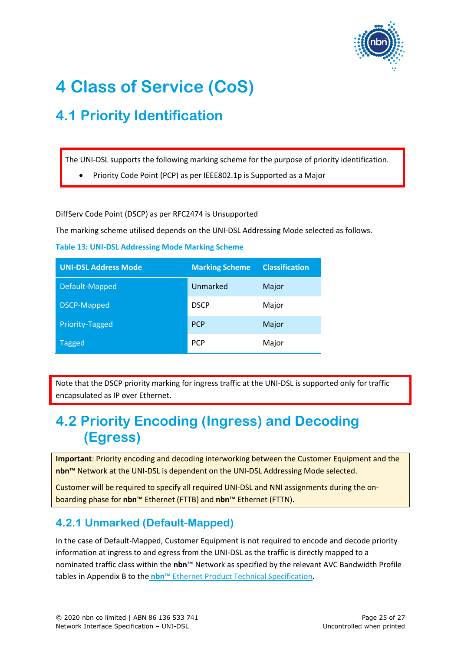

# <span id="page-24-0"></span>**4 Class of Service (CoS)**

### <span id="page-24-1"></span>**4.1 Priority Identification**

The UNI-DSL supports the following marking scheme for the purpose of priority identification.

• Priority Code Point (PCP) as per IEEE802.1p is Supported as a Major

DiffServ Code Point (DSCP) as per RFC2474 is Unsupported

The marking scheme utilised depends on the UNI-DSL Addressing Mode selected as follows.

<span id="page-24-4"></span>**Table 13: UNI-DSL Addressing Mode Marking Scheme**

| <b>UNI-DSL Address Mode</b> | <b>Marking Scheme</b> | <b>Classification</b> |
|-----------------------------|-----------------------|-----------------------|
| Default-Mapped              | Unmarked              | Major                 |
| <b>DSCP-Mapped</b>          | <b>DSCP</b>           | Major                 |
| Priority-Tagged             | <b>PCP</b>            | Major                 |
| <b>Tagged</b>               | <b>PCP</b>            | Major                 |

Note that the DSCP priority marking for ingress traffic at the UNI-DSL is supported only for traffic encapsulated as IP over Ethernet.

### <span id="page-24-2"></span>**4.2 Priority Encoding (Ingress) and Decoding (Egress)**

**Important**: Priority encoding and decoding interworking between the Customer Equipment and the **nbn**™ Network at the UNI-DSL is dependent on the UNI-DSL Addressing Mode selected.

Customer will be required to specify all required UNI-DSL and NNI assignments during the onboarding phase for **nbn**™ Ethernet (FTTB) and **nbn**™ Ethernet (FTTN).

### <span id="page-24-3"></span>**4.2.1 Unmarked (Default-Mapped)**

In the case of Default-Mapped, Customer Equipment is not required to encode and decode priority information at ingress to and egress from the UNI-DSL as the traffic is directly mapped to a nominated traffic class within the **nbn**™ Network as specified by the relevant AVC Bandwidth Profile tables in Appendix B to the **nbn**™ Ethernet Product Technical Specification.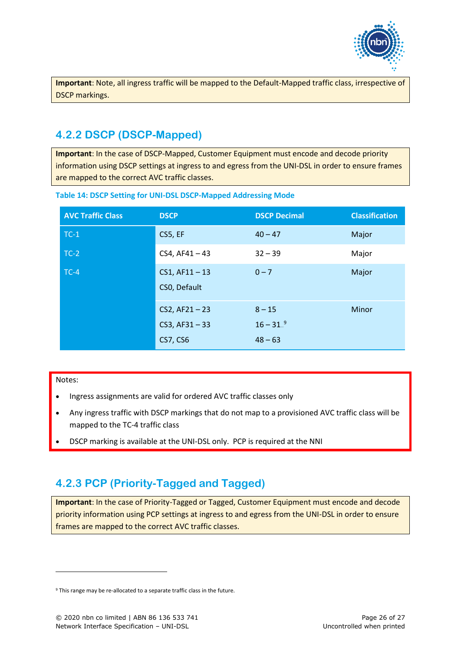

**Important**: Note, all ingress traffic will be mapped to the Default-Mapped traffic class, irrespective of DSCP markings.

### <span id="page-25-0"></span>**4.2.2 DSCP (DSCP-Mapped)**

**Important**: In the case of DSCP-Mapped, Customer Equipment must encode and decode priority information using DSCP settings at ingress to and egress from the UNI-DSL in order to ensure frames are mapped to the correct AVC traffic classes.

| <b>AVC Traffic Class</b> | <b>DSCP</b>                                             | <b>DSCP Decimal</b>                     | <b>Classification</b> |
|--------------------------|---------------------------------------------------------|-----------------------------------------|-----------------------|
| $TC-1$                   | CS5, EF                                                 | $40 - 47$                               | Major                 |
| $TC-2$                   | $CS4, AF41 - 43$                                        | $32 - 39$                               | Major                 |
| $TC-4$                   | $CS1, AF11-13$<br>CSO, Default                          | $0 - 7$                                 | Major                 |
|                          | $CS2, AF21 - 23$<br>$CS3, AF31 - 33$<br><b>CS7, CS6</b> | $8 - 15$<br>$16 - 31^{-9}$<br>$48 - 63$ | Minor                 |

#### <span id="page-25-2"></span>**Table 14: DSCP Setting for UNI-DSL DSCP-Mapped Addressing Mode**

#### Notes:

- Ingress assignments are valid for ordered AVC traffic classes only
- Any ingress traffic with DSCP markings that do not map to a provisioned AVC traffic class will be mapped to the TC-4 traffic class
- DSCP marking is available at the UNI-DSL only. PCP is required at the NNI

### <span id="page-25-1"></span>**4.2.3 PCP (Priority-Tagged and Tagged)**

**Important**: In the case of Priority-Tagged or Tagged, Customer Equipment must encode and decode priority information using PCP settings at ingress to and egress from the UNI-DSL in order to ensure frames are mapped to the correct AVC traffic classes.

<sup>&</sup>lt;sup>9</sup> This range may be re-allocated to a separate traffic class in the future.